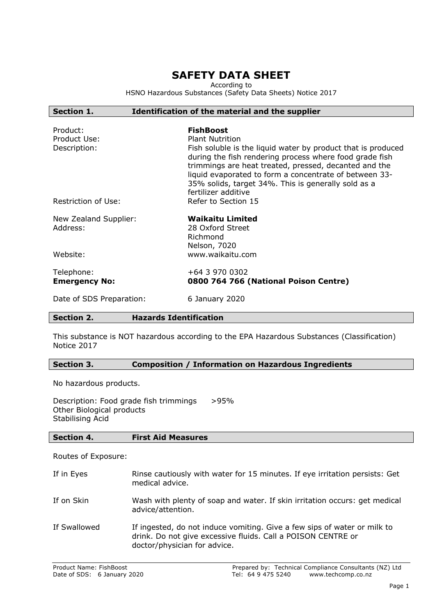# **SAFETY DATA SHEET**

According to

HSNO Hazardous Substances (Safety Data Sheets) Notice 2017

### **Section 1. Identification of the material and the supplier**

| Product:<br>Product Use:<br>Description: | <b>FishBoost</b><br><b>Plant Nutrition</b><br>Fish soluble is the liquid water by product that is produced<br>during the fish rendering process where food grade fish<br>trimmings are heat treated, pressed, decanted and the<br>liquid evaporated to form a concentrate of between 33-<br>35% solids, target 34%. This is generally sold as a<br>fertilizer additive |
|------------------------------------------|------------------------------------------------------------------------------------------------------------------------------------------------------------------------------------------------------------------------------------------------------------------------------------------------------------------------------------------------------------------------|
| Restriction of Use:                      | Refer to Section 15                                                                                                                                                                                                                                                                                                                                                    |
| New Zealand Supplier:<br>Address:        | <b>Waikaitu Limited</b><br>28 Oxford Street<br>Richmond<br>Nelson, 7020                                                                                                                                                                                                                                                                                                |
| Website:                                 | www.waikaitu.com                                                                                                                                                                                                                                                                                                                                                       |
| Telephone:<br><b>Emergency No:</b>       | +64 3 970 0302<br>0800 764 766 (National Poison Centre)                                                                                                                                                                                                                                                                                                                |
| Date of SDS Preparation:                 | 6 January 2020                                                                                                                                                                                                                                                                                                                                                         |

### **Section 2. Hazards Identification**

This substance is NOT hazardous according to the EPA Hazardous Substances (Classification) Notice 2017

### **Section 3. Composition / Information on Hazardous Ingredients**

No hazardous products.

Description: Food grade fish trimmings >95% Other Biological products Stabilising Acid

### **Section 4. First Aid Measures**

Routes of Exposure:

If in Eyes Rinse cautiously with water for 15 minutes. If eye irritation persists: Get medical advice. If on Skin Wash with plenty of soap and water. If skin irritation occurs: get medical advice/attention. If Swallowed If ingested, do not induce vomiting. Give a few sips of water or milk to drink. Do not give excessive fluids. Call a POISON CENTRE or doctor/physician for advice.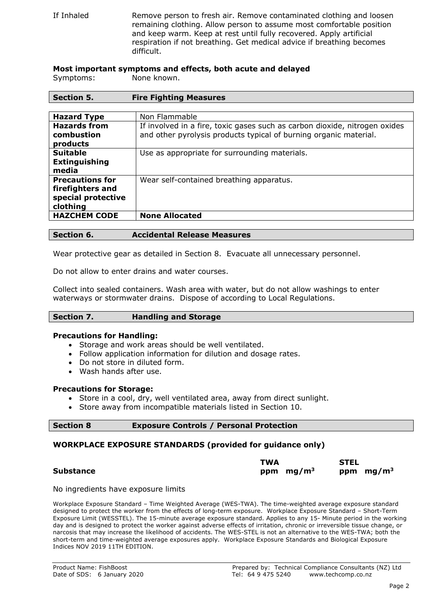If Inhaled Remove person to fresh air. Remove contaminated clothing and loosen remaining clothing. Allow person to assume most comfortable position and keep warm. Keep at rest until fully recovered. Apply artificial respiration if not breathing. Get medical advice if breathing becomes difficult.

### **Most important symptoms and effects, both acute and delayed**

Symptoms: None known.

| Section 5.             | <b>Fire Fighting Measures</b>                                              |
|------------------------|----------------------------------------------------------------------------|
|                        |                                                                            |
| <b>Hazard Type</b>     | Non Flammable                                                              |
| <b>Hazards from</b>    | If involved in a fire, toxic gases such as carbon dioxide, nitrogen oxides |
| combustion             | and other pyrolysis products typical of burning organic material.          |
| products               |                                                                            |
| <b>Suitable</b>        | Use as appropriate for surrounding materials.                              |
| <b>Extinguishing</b>   |                                                                            |
| media                  |                                                                            |
| <b>Precautions for</b> | Wear self-contained breathing apparatus.                                   |
| firefighters and       |                                                                            |
| special protective     |                                                                            |
| clothing               |                                                                            |
| <b>HAZCHEM CODE</b>    | <b>None Allocated</b>                                                      |
|                        |                                                                            |

### **Section 6. Accidental Release Measures**

Wear protective gear as detailed in Section 8. Evacuate all unnecessary personnel.

Do not allow to enter drains and water courses.

Collect into sealed containers. Wash area with water, but do not allow washings to enter waterways or stormwater drains. Dispose of according to Local Regulations.

### **Section 7. Handling and Storage**

#### **Precautions for Handling:**

- Storage and work areas should be well ventilated.
- Follow application information for dilution and dosage rates.
- Do not store in diluted form.
- Wash hands after use.

### **Precautions for Storage:**

- Store in a cool, dry, well ventilated area, away from direct sunlight.
- Store away from incompatible materials listed in Section 10.

### **Section 8 Exposure Controls / Personal Protection**

### **WORKPLACE EXPOSURE STANDARDS (provided for guidance only)**

|                  | <b>TWA</b>   | <b>STEL</b> |
|------------------|--------------|-------------|
| <b>Substance</b> | ppm $mg/m^3$ | ppm $mg/m3$ |

No ingredients have exposure limits

Workplace Exposure Standard – Time Weighted Average (WES-TWA). The time-weighted average exposure standard designed to protect the worker from the effects of long-term exposure. Workplace Exposure Standard – Short-Term Exposure Limit (WESSTEL). The 15-minute average exposure standard. Applies to any 15- Minute period in the working day and is designed to protect the worker against adverse effects of irritation, chronic or irreversible tissue change, or narcosis that may increase the likelihood of accidents. The WES-STEL is not an alternative to the WES-TWA; both the short-term and time-weighted average exposures apply. Workplace Exposure Standards and Biological Exposure Indices NOV 2019 11TH EDITION.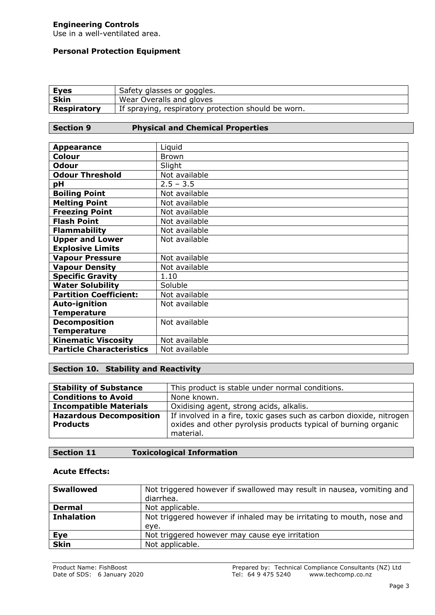# **Engineering Controls**

Use in a well-ventilated area.

### **Personal Protection Equipment**

| <u>Eyes</u>        | Safety glasses or goggles.                          |
|--------------------|-----------------------------------------------------|
| <b>Skin</b>        | Wear Overalls and gloves                            |
| <b>Respiratory</b> | If spraying, respiratory protection should be worn. |

### **Section 9 Physical and Chemical Properties**

| <b>Appearance</b>               | Liquid        |
|---------------------------------|---------------|
|                                 |               |
| Colour                          | <b>Brown</b>  |
| <b>Odour</b>                    | Slight        |
| <b>Odour Threshold</b>          | Not available |
| рH                              | $2.5 - 3.5$   |
| <b>Boiling Point</b>            | Not available |
| <b>Melting Point</b>            | Not available |
| <b>Freezing Point</b>           | Not available |
| <b>Flash Point</b>              | Not available |
| <b>Flammability</b>             | Not available |
| <b>Upper and Lower</b>          | Not available |
| <b>Explosive Limits</b>         |               |
| <b>Vapour Pressure</b>          | Not available |
| <b>Vapour Density</b>           | Not available |
| <b>Specific Gravity</b>         | 1.10          |
| <b>Water Solubility</b>         | Soluble       |
| <b>Partition Coefficient:</b>   | Not available |
| <b>Auto-ignition</b>            | Not available |
| <b>Temperature</b>              |               |
| <b>Decomposition</b>            | Not available |
| <b>Temperature</b>              |               |
| <b>Kinematic Viscosity</b>      | Not available |
| <b>Particle Characteristics</b> | Not available |

# **Section 10. Stability and Reactivity**

| <b>Stability of Substance</b>  | This product is stable under normal conditions.                     |
|--------------------------------|---------------------------------------------------------------------|
| <b>Conditions to Avoid</b>     | None known.                                                         |
| <b>Incompatible Materials</b>  | Oxidising agent, strong acids, alkalis.                             |
| <b>Hazardous Decomposition</b> | If involved in a fire, toxic gases such as carbon dioxide, nitrogen |
| <b>Products</b>                | oxides and other pyrolysis products typical of burning organic      |
|                                | material.                                                           |

# **Section 11 Toxicological Information**

### **Acute Effects:**

| <b>Swallowed</b>  | Not triggered however if swallowed may result in nausea, vomiting and |
|-------------------|-----------------------------------------------------------------------|
|                   | diarrhea.                                                             |
| <b>Dermal</b>     | Not applicable.                                                       |
| <b>Inhalation</b> | Not triggered however if inhaled may be irritating to mouth, nose and |
|                   | eye.                                                                  |
| Eye               | Not triggered however may cause eye irritation                        |
| <b>Skin</b>       | Not applicable.                                                       |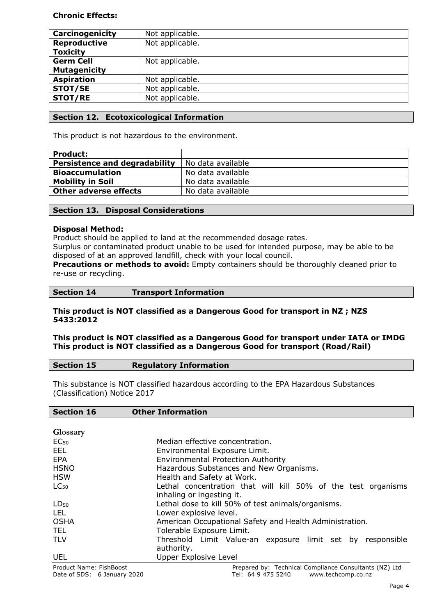### **Chronic Effects:**

| Carcinogenicity     | Not applicable. |
|---------------------|-----------------|
| <b>Reproductive</b> | Not applicable. |
| <b>Toxicity</b>     |                 |
| <b>Germ Cell</b>    | Not applicable. |
| <b>Mutagenicity</b> |                 |
| <b>Aspiration</b>   | Not applicable. |
| <b>STOT/SE</b>      | Not applicable. |
| STOT/RE             | Not applicable. |

### **Section 12. Ecotoxicological Information**

This product is not hazardous to the environment.

| <b>Product:</b>                      |                   |
|--------------------------------------|-------------------|
| <b>Persistence and degradability</b> | No data available |
| <b>Bioaccumulation</b>               | No data available |
| <b>Mobility in Soil</b>              | No data available |
| <b>Other adverse effects</b>         | No data available |

### **Section 13. Disposal Considerations**

### **Disposal Method:**

Product should be applied to land at the recommended dosage rates.

Surplus or contaminated product unable to be used for intended purpose, may be able to be disposed of at an approved landfill, check with your local council.

**Precautions or methods to avoid:** Empty containers should be thoroughly cleaned prior to re-use or recycling.

### **This product is NOT classified as a Dangerous Good for transport in NZ ; NZS 5433:2012**

### **This product is NOT classified as a Dangerous Good for transport under IATA or IMDG This product is NOT classified as a Dangerous Good for transport (Road/Rail)**

| <b>Section 15</b> | <b>Regulatory Information</b> |
|-------------------|-------------------------------|
|                   |                               |

This substance is NOT classified hazardous according to the EPA Hazardous Substances (Classification) Notice 2017

# **Section 16 Other Information**

| Glossary                |                                                               |
|-------------------------|---------------------------------------------------------------|
| EC <sub>50</sub>        | Median effective concentration.                               |
| EEL                     | Environmental Exposure Limit.                                 |
| EPA                     | <b>Environmental Protection Authority</b>                     |
| <b>HSNO</b>             | Hazardous Substances and New Organisms.                       |
| <b>HSW</b>              | Health and Safety at Work.                                    |
| $LC_{50}$               | Lethal concentration that will kill 50% of the test organisms |
|                         | inhaling or ingesting it.                                     |
| $LD_{50}$               | Lethal dose to kill 50% of test animals/organisms.            |
| LEL.                    | Lower explosive level.                                        |
| <b>OSHA</b>             | American Occupational Safety and Health Administration.       |
| TEL.                    | Tolerable Exposure Limit.                                     |
| <b>TLV</b>              | Threshold Limit Value-an exposure limit set by responsible    |
|                         | authority.                                                    |
| <b>UEL</b>              | <b>Upper Explosive Level</b>                                  |
| Product Name: FishBoost | Prepared by: Technical Compliance Consultants (NZ) Ltd        |